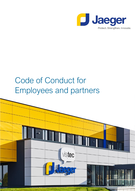

# Code of Conduct for Employees and partners

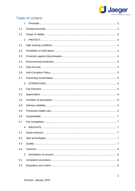

# Table of content

|     | 1              |
|-----|----------------|
| 1.1 |                |
| 1.2 |                |
|     | $\overline{2}$ |
| 2.1 |                |
| 2.2 |                |
| 2.3 |                |
| 2.4 |                |
| 2.5 |                |
| 2.6 |                |
| 2.7 |                |
|     | 3              |
| 3.1 |                |
| 3.2 |                |
| 3.3 |                |
| 3.4 |                |
| 3.5 |                |
| 3.6 |                |
| 3.7 |                |
|     | 4              |
| 4.1 |                |
| 4.2 |                |
| 4.3 |                |
| 4.4 |                |
|     | 5              |
| 5.1 |                |
| 5.2 |                |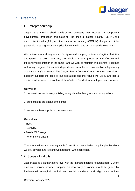

# <span id="page-2-0"></span>1 Preamble

#### <span id="page-2-1"></span>1.1 Entrepreneurship

Jaeger is a medium-sized family-owned company that focuses on component development, production and sales for the shoe & leather industry (SL IN), the automotive industry (A IN) and the construction industry (CON IN). Jaeger is a niche player with a strong focus on application consulting and customised developments.

We believe in our strengths as a family-owned company in terms of agility, flexibility and speed - i.e. quick decisions, short decision-making processes and effective and efficient implementation of the same - and we want to maintain this strength. Together with a high degree of financial independence, we achieve a sustainable safeguarding of the company's existence. The Jaeger Family Code of Conduct of the shareholders explicitly supports the basis of our aspirations and the values we live by and has a decisive influence on the content of this Code of Conduct for employees and partners.

#### **Our vision:**

1. our solutions are in every building, every shoe/leather goods and every vehicle.

- 2. our solutions are ahead of the times.
- 3. we are the best supplier to our customers.

#### **Our values:**

- Trust.
- Reliability.
- Ready 2/4 Change.
- Performance Driven.

These four values are non-negotiable for us. From these derive the principles by which we act, develop and live and work together with each other.

#### <span id="page-2-2"></span>1.2 Scope of validity

Jaeger acts as a partner at eye level with the interested parties ("stakeholders"). Every employee, service provider, supplier, but also every customer, should be guided by fundamental ecological, ethical and social standards and align their actions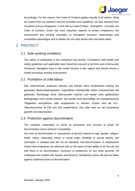

accordingly. For this reason, this Code of Conduct applies equally to all parties. What we expect from our partners (service providers and suppliers), we also demand from ourselves and our employees. In line with our claim Protect - Strengthen - Innovate, the Code of Conduct covers the most important aspects to protect employees, the environment and existing minorities, to strengthen business relationships and competitive advantages and to always be one step ahead with innovative ideas.

# <span id="page-3-0"></span>2 PROTECT

### <span id="page-3-1"></span>2.1 Safe working conditions

The safety of employees is the company's top priority. Compliance with health and safety guidelines and applicable laws should be ensured at all times and continuously monitored. Managers have a role model function in this regard and should ensure a health-promoting working environment.

#### <span id="page-3-2"></span>2.2 Prohibition of child labour

Das Unternehmen praktiziert niemals und toleriert keine Kinderarbeit entlang der gesamten Wertschöpfungskette. Jugendliche Arbeitskräfte dürfen entsprechend der geltenden Rechtslage keine Überstunden machen und weder unter gefährlichen Bedingungen noch nachts arbeiten. Sie werden nicht beschäftigt, um unangemessene Tätigkeiten auszuführen oder ausgebeutet zu werden. Zudem sind die ILO.- Übereinkommen Nr.138 und 182 verpflichtend. Das Alter wird vor der Einstellung geprüft und dokumentiert.

#### <span id="page-3-3"></span>2.3 Protection against discrimination

The company undertakes to check its processes and courses of action for discrimination and to prevent it completely.

Any form of discrimination or harassment of persons based on age, gender, religion, belief, colour, nationality, ethnic or social origin, disability or sexual identity and orientation is unlawful and will not be tolerated. Non-discrimination in employment means that employees are selected only on the basis of their ability to do the job and that there is no discrimination, exclusion or preference on any other grounds. All employees are treated with respect and decency. Disciplinary action will also be taken against subliminal forms of discrimination.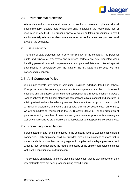

## <span id="page-4-0"></span>2.4 Environmental protection

We understand corporate environmental protection to mean compliance with all environmentally relevant legal regulations and, in addition, the responsible use of resources of any kind. The proper disposal of waste or taking precautions to avoid environmentally relevant incidents are a matter of course for us and are practised in all areas of the company.

#### <span id="page-4-1"></span>2.5 Data security

The topic of data protection has a very high priority for the company. The personal rights and privacy of employees and business partners are fully respected when handling personal data. All company-related and personal data are protected against data misuse in accordance with the state of the art. Data is only used with the corresponding consent.

### <span id="page-4-2"></span>2.6 Anti-Corruption Policy

We do not tolerate any form of corruption, including extortion, fraud and bribery. Corruption harms the company as well as its employees and can lead to increased business and transaction costs, distorted competition and reduced economic growth. Jaeger adheres to the highest standards of moral and ethical conduct and operates in a fair, professional and law-abiding manner. Any attempt to corrupt or to be corrupted will result in disciplinary and, where appropriate, criminal consequences. Furthermore, we are committed to implementing the EU Directive 2019/1937 on the protection of persons reporting breaches of Union law and guarantee anonymous whistleblowing, as well as comprehensive protection of the whistleblower against possible consequences.

## <span id="page-4-3"></span>2.7 Preventing forced labour

Forced labour in any form is prohibited in the company itself as well as in all affiliated companies. Each employee shall be provided with an employment contract that is understandable in his or her own language and complies with the legal provisions, and which at least communicates the nature and scope of the employment relationship, as well as the conditions for its termination.

The company undertakes to ensure along the value chain that its own products or their raw materials have not been produced using forced labour.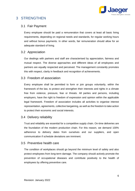

# <span id="page-5-0"></span>3 STRENGTHEN

#### <span id="page-5-1"></span>3.1 Fair Payment

Every employee should be paid a remuneration that covers at least all basic living requirements, depending on regional needs and standards, for regular working hours and without bonus payments. In other words, fair remuneration should allow for an adequate standard of living.

#### <span id="page-5-2"></span>3.2 Appreciation

Our dealings with partners and staff are characterised by appreciation, fairness and mutual respect. The diverse approaches and different ideas of all employees and partners are equally respected and perceived. The management constantly promotes this with respect, clarity in feedback and recognition of achievements.

#### <span id="page-5-3"></span>3.3 Freedom of association

Every employee shall be permitted to form or join groups voluntarily, within the framework of the law, to protect and strengthen their interests and rights in a climate free from violence, pressure, fear or threats. All parties and persons, including employers, have the right to freedom of expression and opinion within the applicable legal framework. Freedom of association includes all activities to organise interest representation, agreements, collective bargaining, as well as the freedom to take action to protect their economic and social interests.

#### <span id="page-5-4"></span>3.4 Delivery reliability

Trust and reliability are essential for a competitive supply chain. On-time deliveries are the foundation of the modern production chain. For this reason, we demand 100% adherence to delivery dates from ourselves and our suppliers, and open communication if schedule deviations are imminent.

#### <span id="page-5-5"></span>3.5 Preventive health care

The condition of workplaces should go beyond the minimum level of safety and also protect employees from long-term damage. The company should actively promote the prevention of occupational diseases and contribute positively to the health of employees by offering preventive care.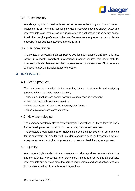

### <span id="page-6-0"></span>3.6 Sustainability

We always try to act sustainably and set ourselves ambitious goals to minimise our impact on the environment. Reducing the use of resources such as energy, water and raw materials is an integral part of our strategy and anchored in our corporate policy. In addition, we give preference to the use of renewable energies and strive for climate neutrality in our business activities in the long term.

#### <span id="page-6-1"></span>3.7 Fair competition

The company represents a fair competitive position both nationally and internationally. Acting in a legally compliant, professional manner ensures this basic attitude. Competition law is observed and the company responds to the wishes of its customers with a competitive, innovative range of products.

## <span id="page-6-2"></span>4 INNOVATE

#### <span id="page-6-3"></span>4.1 Green products

The company is committed to implementing future developments and designing products with sustainable aspects in mind,

- whose manufacture uses as few hazardous substances as necessary;
- which are recyclable wherever possible;
- which are packaged in an environmentally friendly way;
- which leave a reduced carbon footprint.

## <span id="page-6-4"></span>4.2 New technologies

The company constantly strives for technological innovations, as these form the basis for the development and production of attractive products and services.

The company should continuously improve in order to thus achieve a high performance for the customers, but also for itself. In order to secure a good market position, we are always open to technological progress and thus want to lead the way as a pioneer.

#### <span id="page-6-5"></span>4.3 Quality

We pursue a high standard of quality in our work, with regard to customer satisfaction and the objective of proactive error prevention. It must be ensured that all products, raw materials and services meet the agreed requirements and specifications and are in compliance with applicable laws and regulations.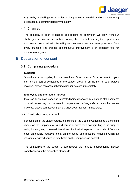

Any quality or labelling discrepancies or changes in raw materials and/or manufacturing processes are communicated immediately.

#### <span id="page-7-0"></span>4.4 Chances

The company is open to change and reflects its behaviour. We grow from our challenges because we see in them not only the risks, but precisely the opportunities that need to be seized. With the willingness to change, we try to emerge stronger from every situation. The process of continuous improvement is an important tool for achieving our goals.

# <span id="page-7-1"></span>5 Declaration of consent

#### <span id="page-7-2"></span>5.1 Complaints procedure

#### **Suppliers:**

Should you, as a supplier, discover violations of the contents of this document on your part, on the part of companies of the Jaeger Group or on the part of other parties involved, please contact purchasing@jaeger-ttc.com immediately.

#### **Employees and Interested Parties:**

If you, as an employee or as an interested party, discover any violations of the contents of this document in your company, in companies of the Jaeger Group or in other parties involved, please contact complaints-JDE@jaeger-ttc.com immediately.

#### <span id="page-7-3"></span>5.2 Evaluation and control

For suppliers of the Jaeger Group, the signing of the Code of Conduct has a significant impact on the supplier's rating and can be decisive for a downgrading in the supplier rating if the signing is refused. Violations of individual aspects of the Code of Conduct have an equally negative effect on the rating and must be remedied within an individually agreed period of time between the companies in contact.

The companies of the Jaeger Group reserve the right to independently monitor compliance with the prescribed standards.